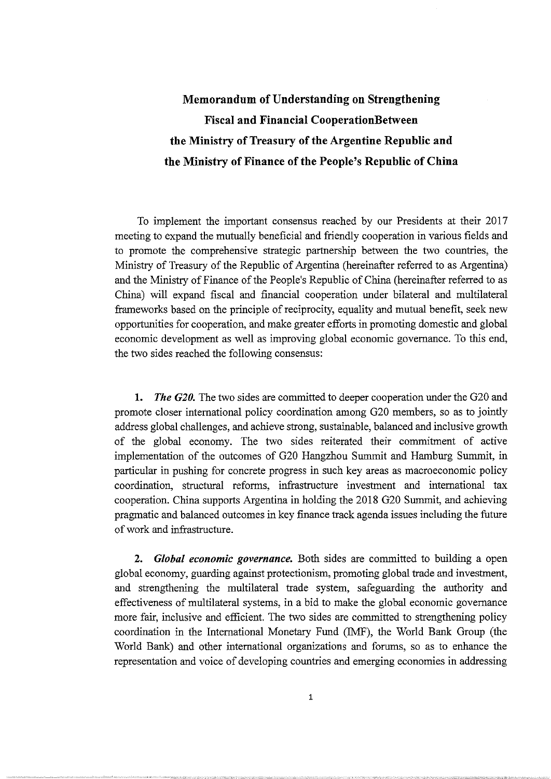## **Memorandum ofUnderstanding on Strengthening Fiscal and Financial CooperationBetween**  the Ministry of Treasury of the Argentine Republic and the Ministry of Finance of the People's Republic of China

To implement the important consensus reached by our Presidents at their 2017 meeting to expand the mutually beneficial and friendly cooperation in various fields and to promote the comprehensive strategic partnership between the two countries, the Ministry of Treasury of the Republic of Argentina (hereinafter referred to as Argentina) and the Ministry of Finance of the People's Republic of China (hereinafter referred to as China) will expand fiscal and financia! cooperation under bilateral and multilateral frameworks based on the principie of reciprocity, equality and mutual benefit, seek new opportunities for cooperation, and make greater efforts in promoting domestic and global economic development as well as improving global economic govemance. To this end, the two sides reached the following consensus:

**1.** *The G20*. The two sides are committed to deeper cooperation under the G20 and promote closer intemational policy coordination among 020 members, so as to jointly address global challenges, and achieve strong, sustainable, balanced and inclusive growth of the global economy. The two sides reiterated their cornmitment of active implementation of the outcomes of G20 Hangzhou Summit and Hamburg Summit, in particular in pushing for concrete progress in such key areas as macroeconomic policy coordination, structural reforms, infrastructure investment and intemational tax cooperation. China supports Argentina in holding the 2018 G20 Summit, and achieving pragmatic and balanced outcomes in key fmance track agenda issues including the future ofwork and infrastructure.

2. *Global economic governance*. Both sides are committed to building a open global economy, guarding against protectionism, promoting global trade and investment, and strengthening the multilateral trade system, safeguarding the authority and effectiveness of multilateral systems, in a bid to make the global economic govemance more fair, inclusive and efficient. The two sides are committed to strengthening policy coordination in the Intemational Monetary Fund (IMF), the World Bank Group (the World Bank) and other intemational organizations and forums, so as to enhance the representation and voice of developing countries and emerging economies in addressing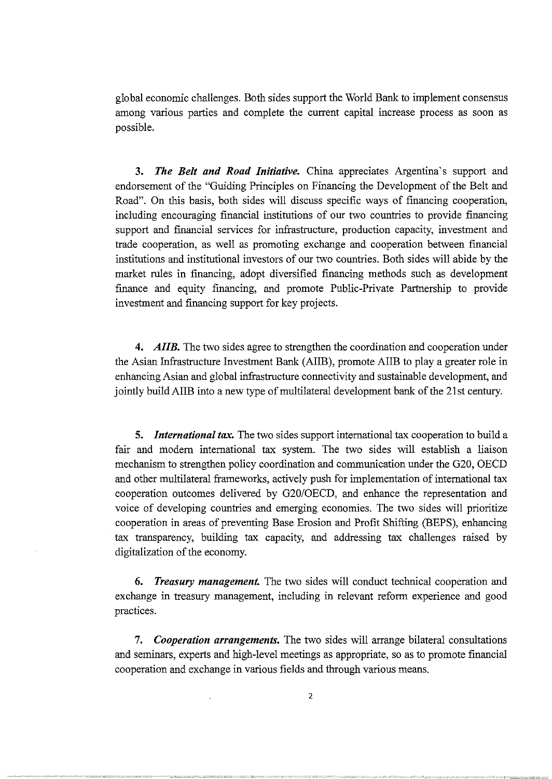global economic challenges. Both sides support the World Bank to implement consensus among various parties and complete the current capital increase process as soon as possible.

**3.** *The Belt and Road Initiative.* China appreciates Argentina's support and endorsement of the "Guiding Principies on Financing the Development of the Belt and Road". On this basis, both sides will discuss specific ways of financing cooperation, including encouraging financial institutions of our two countries to provide financing support and fmancial services for infrastructure, production capacity, investment and trade cooperation, as well as promoting exchange and cooperation between financia! institutions and institutional investors of our two countries. Both sides will abide by the market rules in financing, adopt diversified financing methods such as development finance and equity fmancing, and promote Public-Private Partnership to provide investment and financing support for key projects.

**4.** *AIIB.* The two sides agree to strengthen the coordination and cooperation under the Asian Infrastructure Investment Bank (AIIB), promote AIIB to play a greater role in enhancing Asian and global infrastructure connectivity and sustainable development, and jointly build AIIB into a new type of multilateral development bank of the 21st century.

**5.** *International tax.* The two sides support intemational tax cooperation to build a fair and modem intemational tax system. The two sides will establish a liaison mechanism to strengthen policy coordination and communication under the G20, OECD and other multilateral frameworks, actively push for implementation of international tax cooperation outcomes delivered by G20/0ECD, and enhance the representation and voice of developing countries and emerging economies. The two sides will prioritize cooperation in areas of preventing Base Erosion and Profit Shifting (BEPS), enhancing tax transparency, building tax capacity, and addressing tax challenges raised by digitalization of the economy.

**6.** *Treasury management.* The two sides will conduct technical cooperation and exchange in treasury management, including in relevant reform experience and good practices.

**7.** *Cooperation arrangements.* The two sides will arrange bilateral consultations and seminars, experts and high-level meetings as appropriate, so as to promote financial cooperation and exchange in various fields and through various means.

2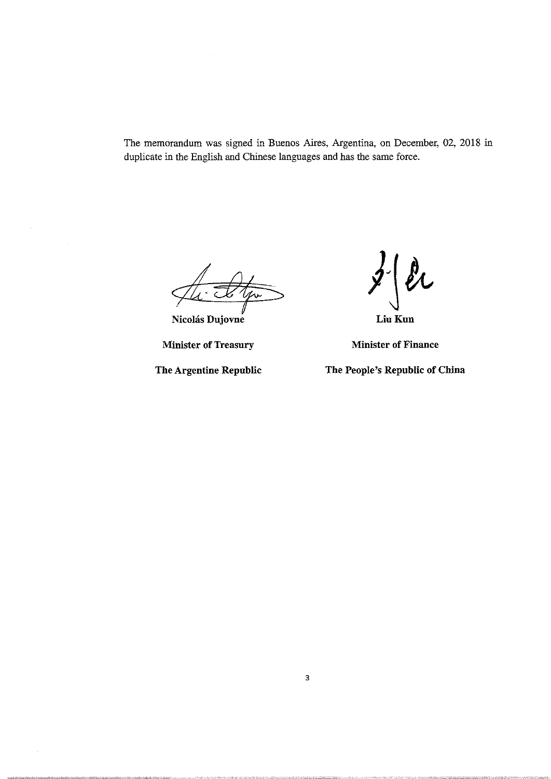The memorandum was signed in Buenos Aires, Argentina, on December, 02, 2018 in duplicate in the English and Chinese languages and has the same force.

**Nicolás Dujovne** 

**Minister of Treasury Minister of Finance** 

 $z'$   $\int_{\text{Liu Kun}}^{\text{d}}$ 

**The Argentine Republic The People's Republic of China**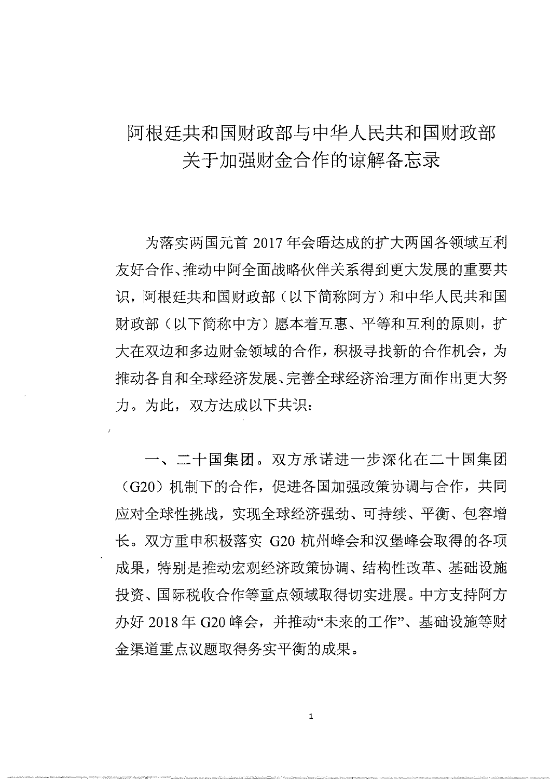## 阿根廷共和国财政部与中华人民共和国财政部 关于加强财金合作的谅解备忘录

为落实两国元首 2017 年会晤达成的扩大两国各领域互利 友好合作、推动中阿全面战略伙伴关系得到更大发展的重要共 识,阿根廷共和国财政部(以下简称阿方)和中华人民共和国 财政部(以下简称中方)愿本着互惠、平等和互利的原则,扩 大在双边和多边财金领域的合作, 积极寻找新的合作机会, 为 推动各自和全球经济完善全球经济治理方面作出更大努 力。为此, 双方达成以下共识:

一、二十国集团。双方承诺进一步深化在二十国集团 (G20) 机制下的合作, 促进各国加强政策协调与合作, 共同 应对全球性挑战, 实现全球经济强劲、可持续、平衡、包容增 长。双方重申积极落实 G20 杭州峰会和汉堡峰会取得的各项 成果,特别是推动宏观经济政策协调、结构性改革、基础设施 投资、国际税收合作等重点领域取得切实进展。中方支持阿方 办好 2018年 G20 峰会, 并推动"未来的工作"、基础设施等财 金渠道重点议题取得务实平衡的成果。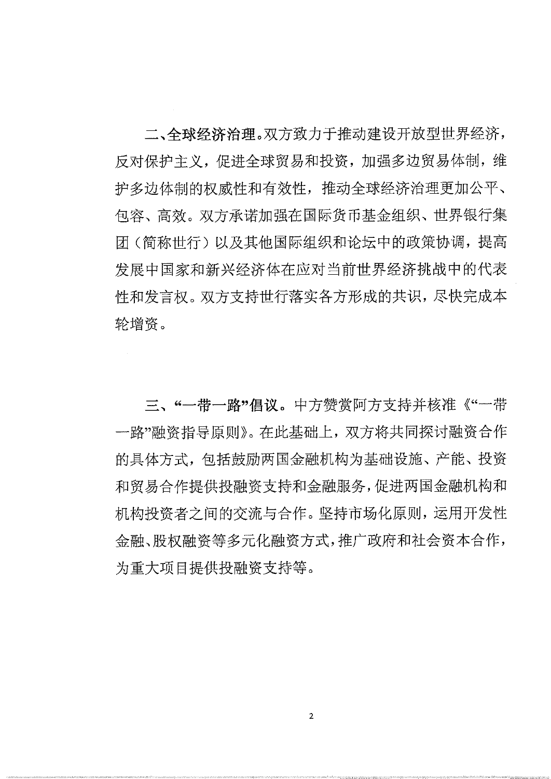二、全球经济治理。双方致力于推动建设开放型世界经济, 反对保护主义, 促讲全球贸易和投资, 加强多边贸易体制, 维 护多边体制的权威性和有效性, 推动全球经济治理更加公平、 句容、高效。双方承诺加强在国际货币基金组织、世界银行集 团(简称世行)以及其他国际组织和论坛中的政策协调, 提高 发展中国家和新兴经济体在应对当前世界经济挑战中的代表 性和发言权。双方支持世行落实各方形成的共识, 尽快完成本 轮增资。

三、"一带一路"倡议。中方赞赏阿方支持并核准《"一带 一路"融资指导原则》。在此基础上, 双方将共同探讨融资合作 的具体方式, 包括鼓励两国金融机构为基础设施、产能、投资 和贸易合作提供投融资支持和金融服务,促进两国金融机构和 机构投资者之间的交流与合作。坚持市场化原则, 运用开发性 金融、股权融资等多元化融资方式,推广政府和社会资本合作, 为重大项目提供投融资支持等。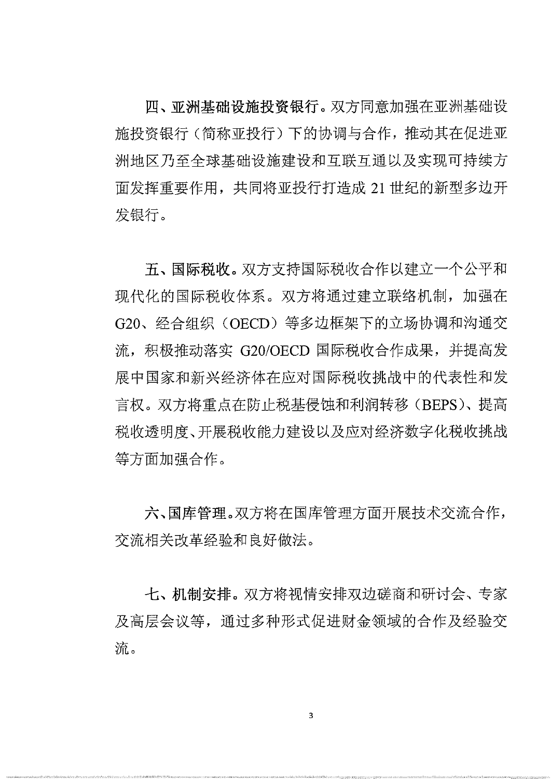四、亚洲基础设施投资银行。双方同意加强在亚洲基础设 施投资银行(简称亚投行)下的协调与合作, 推动其在促进亚 洲地区乃至全球基础设施建设和互联互通以及实现可持续方 面发挥重要作用,共同将亚投行打造成 21 世纪的新型多边开 发银行。

五、国际税收。双方支持国际税收合作以建立一个公平和 现代化的国际税收体系。双方将通过建立联络机制, 加强在 G20、经合组织 (OECD) 等多边框架下的立场协调和沟通交 流, 积极推动落实 G20/OECD 国际税收合作成果, 并提高发 展中国家和新兴经济体在应对国际税收挑战中的代表性和发 言权。双方将重点在防止税基侵蚀和利润转移(BEPS)、提高 税收透明度、开展税收能力建设以及应对经济数字化税收挑战 等方面加强合作。

六、国库管理。双方将在国库管理方面开展技术交流合作, 交流相关改革经验和良好做法。

七、机制安排。双方将视情安排双边磋商和研讨会、专家 及高层会议等, 通过多种形式促进财金领域的合作及经验交 流。

3